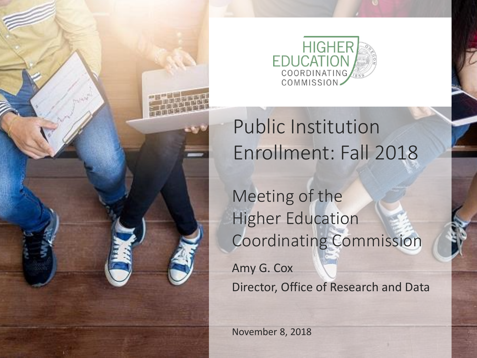

### Public Institution Enrollment: Fall 2018

Meeting of the Higher Education Coordinating Commission

Amy G. Cox Director, Office of Research and Data

November 8, 2018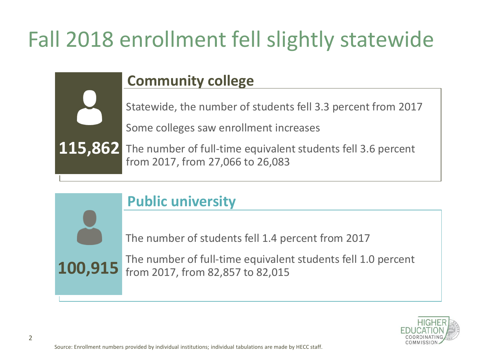# Fall 2018 enrollment fell slightly statewide

#### **Community college**

Statewide, the number of students fell 3.3 percent from 2017

Some colleges saw enrollment increases

The number of full-time equivalent students fell 3.6 percent from 2017, from 27,066 to 26,083

#### **Public university**

The number of students fell 1.4 percent from 2017

The number of full-time equivalent students fell 1.0 percent from 2017, from 82,857 to 82,015



**115,862**

**100,915**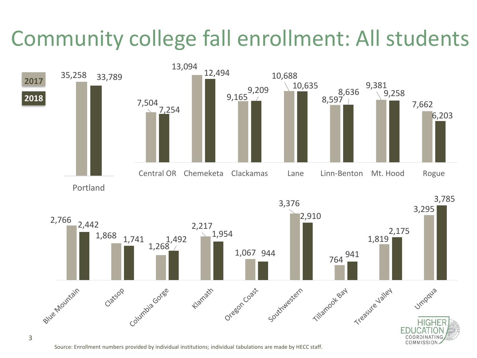## Community college fall enrollment: All students



Source: Enrollment numbers provided by individual institutions; individual tabulations are made by HECC staff.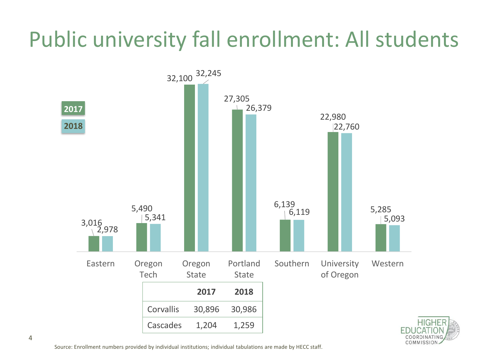## Public university fall enrollment: All students



Source: Enrollment numbers provided by individual institutions; individual tabulations are made by HECC staff.